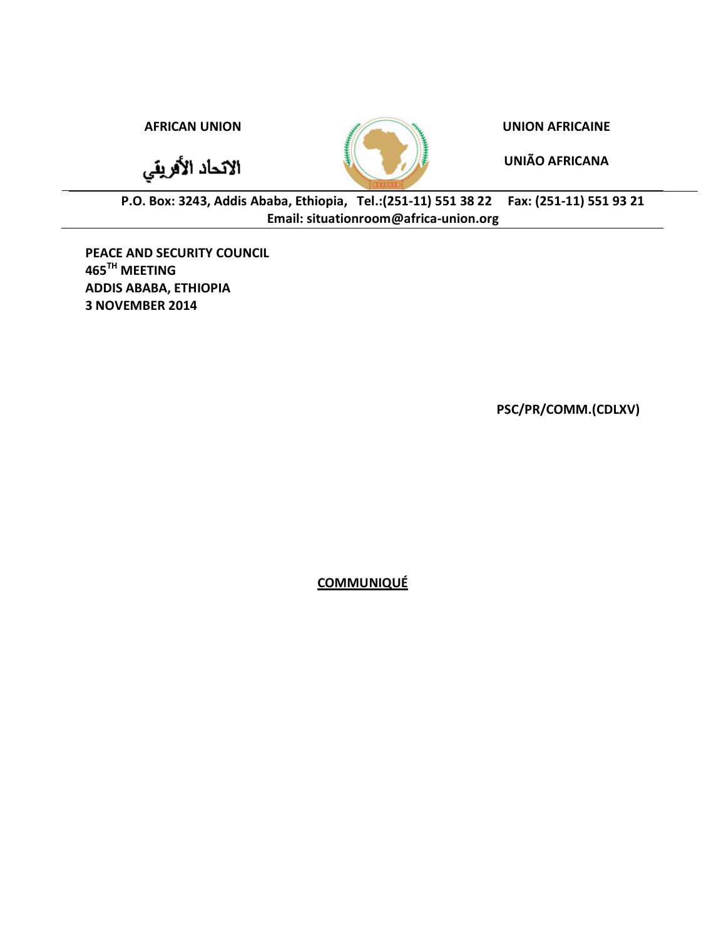الاتحاد الأفريقي

**AFRICAN UNION UNION AFRICAINE**

**UNIÃO AFRICANA**

**P.O. Box: 3243, Addis Ababa, Ethiopia, Tel.:(251-11) 551 38 22 Fax: (251-11) 551 93 21 Email: situationroom@africa-union.org**

**PEACE AND SECURITY COUNCIL 465TH MEETING ADDIS ABABA, ETHIOPIA 3 NOVEMBER 2014**

**PSC/PR/COMM.(CDLXV)** 

**COMMUNIQUÉ**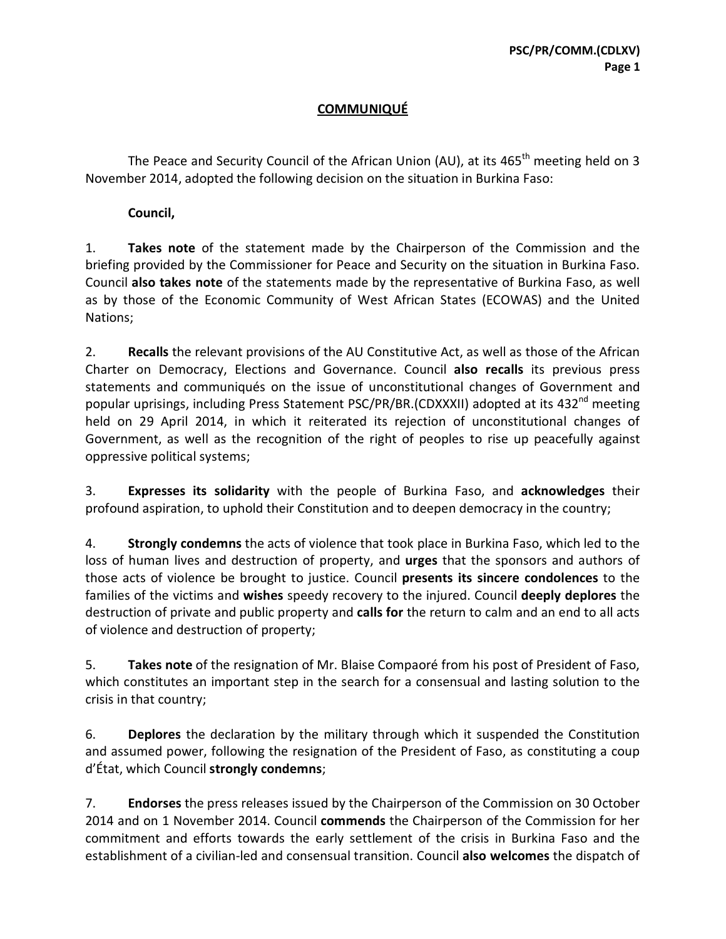## **COMMUNIQUÉ**

The Peace and Security Council of the African Union (AU), at its 465<sup>th</sup> meeting held on 3 November 2014, adopted the following decision on the situation in Burkina Faso:

## **Council,**

1. **Takes note** of the statement made by the Chairperson of the Commission and the briefing provided by the Commissioner for Peace and Security on the situation in Burkina Faso. Council **also takes note** of the statements made by the representative of Burkina Faso, as well as by those of the Economic Community of West African States (ECOWAS) and the United Nations;

2. **Recalls** the relevant provisions of the AU Constitutive Act, as well as those of the African Charter on Democracy, Elections and Governance. Council **also recalls** its previous press statements and communiqués on the issue of unconstitutional changes of Government and popular uprisings, including Press Statement PSC/PR/BR.(CDXXXII) adopted at its 432<sup>nd</sup> meeting held on 29 April 2014, in which it reiterated its rejection of unconstitutional changes of Government, as well as the recognition of the right of peoples to rise up peacefully against oppressive political systems;

3. **Expresses its solidarity** with the people of Burkina Faso, and **acknowledges** their profound aspiration, to uphold their Constitution and to deepen democracy in the country;

4. **Strongly condemns** the acts of violence that took place in Burkina Faso, which led to the loss of human lives and destruction of property, and **urges** that the sponsors and authors of those acts of violence be brought to justice. Council **presents its sincere condolences** to the families of the victims and **wishes** speedy recovery to the injured. Council **deeply deplores** the destruction of private and public property and **calls for** the return to calm and an end to all acts of violence and destruction of property;

5. **Takes note** of the resignation of Mr. Blaise Compaoré from his post of President of Faso, which constitutes an important step in the search for a consensual and lasting solution to the crisis in that country;

6. **Deplores** the declaration by the military through which it suspended the Constitution and assumed power, following the resignation of the President of Faso, as constituting a coup d'État, which Council **strongly condemns**;

7. **Endorses** the press releases issued by the Chairperson of the Commission on 30 October 2014 and on 1 November 2014. Council **commends** the Chairperson of the Commission for her commitment and efforts towards the early settlement of the crisis in Burkina Faso and the establishment of a civilian-led and consensual transition. Council **also welcomes** the dispatch of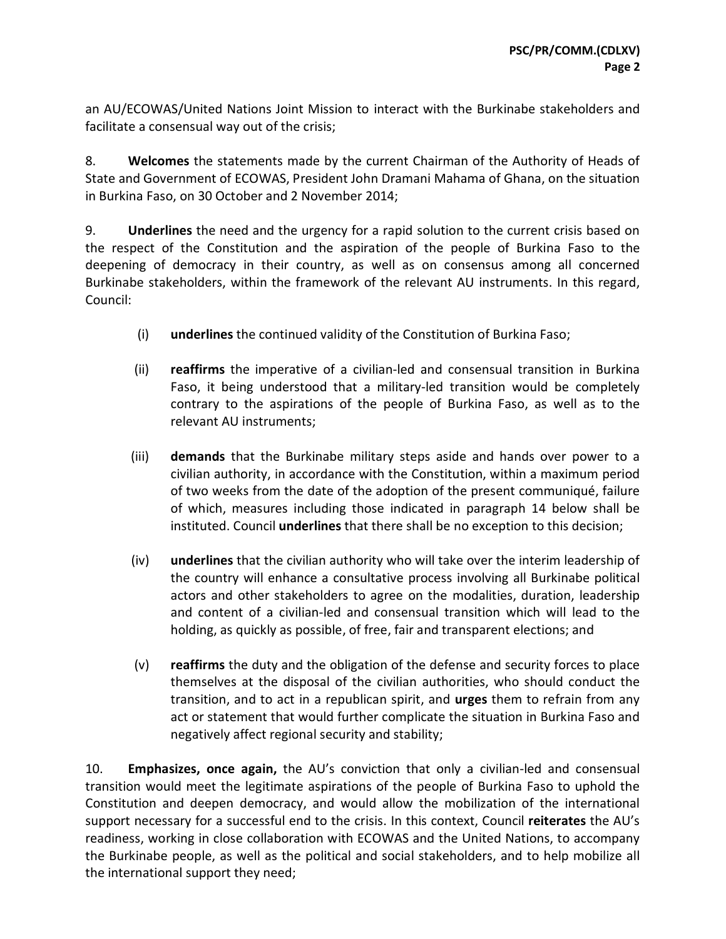an AU/ECOWAS/United Nations Joint Mission to interact with the Burkinabe stakeholders and facilitate a consensual way out of the crisis;

8. **Welcomes** the statements made by the current Chairman of the Authority of Heads of State and Government of ECOWAS, President John Dramani Mahama of Ghana, on the situation in Burkina Faso, on 30 October and 2 November 2014;

9. **Underlines** the need and the urgency for a rapid solution to the current crisis based on the respect of the Constitution and the aspiration of the people of Burkina Faso to the deepening of democracy in their country, as well as on consensus among all concerned Burkinabe stakeholders, within the framework of the relevant AU instruments. In this regard, Council:

- (i) **underlines** the continued validity of the Constitution of Burkina Faso;
- (ii) **reaffirms** the imperative of a civilian-led and consensual transition in Burkina Faso, it being understood that a military-led transition would be completely contrary to the aspirations of the people of Burkina Faso, as well as to the relevant AU instruments;
- (iii) **demands** that the Burkinabe military steps aside and hands over power to a civilian authority, in accordance with the Constitution, within a maximum period of two weeks from the date of the adoption of the present communiqué, failure of which, measures including those indicated in paragraph 14 below shall be instituted. Council **underlines** that there shall be no exception to this decision;
- (iv) **underlines** that the civilian authority who will take over the interim leadership of the country will enhance a consultative process involving all Burkinabe political actors and other stakeholders to agree on the modalities, duration, leadership and content of a civilian-led and consensual transition which will lead to the holding, as quickly as possible, of free, fair and transparent elections; and
- (v) **reaffirms** the duty and the obligation of the defense and security forces to place themselves at the disposal of the civilian authorities, who should conduct the transition, and to act in a republican spirit, and **urges** them to refrain from any act or statement that would further complicate the situation in Burkina Faso and negatively affect regional security and stability;

10. **Emphasizes, once again,** the AU's conviction that only a civilian-led and consensual transition would meet the legitimate aspirations of the people of Burkina Faso to uphold the Constitution and deepen democracy, and would allow the mobilization of the international support necessary for a successful end to the crisis. In this context, Council **reiterates** the AU's readiness, working in close collaboration with ECOWAS and the United Nations, to accompany the Burkinabe people, as well as the political and social stakeholders, and to help mobilize all the international support they need;